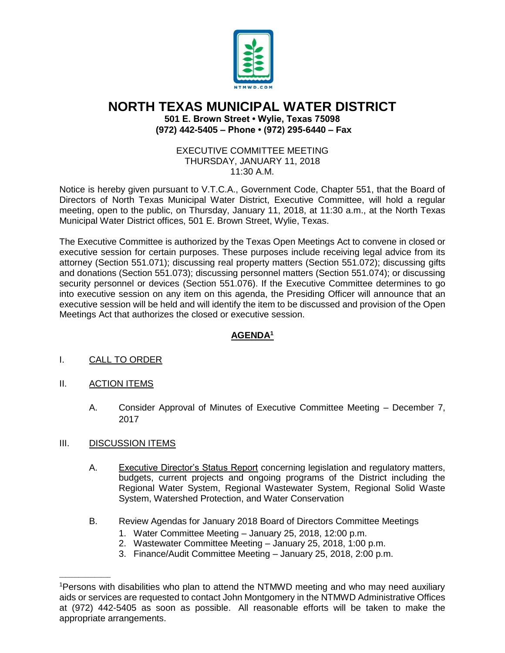

## **NORTH TEXAS MUNICIPAL WATER DISTRICT 501 E. Brown Street • Wylie, Texas 75098 (972) 442-5405 – Phone • (972) 295-6440 – Fax**

## EXECUTIVE COMMITTEE MEETING THURSDAY, JANUARY 11, 2018 11:30 A.M.

Notice is hereby given pursuant to V.T.C.A., Government Code, Chapter 551, that the Board of Directors of North Texas Municipal Water District, Executive Committee, will hold a regular meeting, open to the public, on Thursday, January 11, 2018, at 11:30 a.m., at the North Texas Municipal Water District offices, 501 E. Brown Street, Wylie, Texas.

The Executive Committee is authorized by the Texas Open Meetings Act to convene in closed or executive session for certain purposes. These purposes include receiving legal advice from its attorney (Section 551.071); discussing real property matters (Section 551.072); discussing gifts and donations (Section 551.073); discussing personnel matters (Section 551.074); or discussing security personnel or devices (Section 551.076). If the Executive Committee determines to go into executive session on any item on this agenda, the Presiding Officer will announce that an executive session will be held and will identify the item to be discussed and provision of the Open Meetings Act that authorizes the closed or executive session.

## **AGENDA<sup>1</sup>**

- I. CALL TO ORDER
- II. ACTION ITEMS
	- A. Consider Approval of Minutes of Executive Committee Meeting December 7, 2017

## III. DISCUSSION ITEMS

 $\overline{\phantom{a}}$  ,  $\overline{\phantom{a}}$  ,  $\overline{\phantom{a}}$  ,  $\overline{\phantom{a}}$  ,  $\overline{\phantom{a}}$  ,  $\overline{\phantom{a}}$  ,  $\overline{\phantom{a}}$  ,  $\overline{\phantom{a}}$  ,  $\overline{\phantom{a}}$  ,  $\overline{\phantom{a}}$  ,  $\overline{\phantom{a}}$  ,  $\overline{\phantom{a}}$  ,  $\overline{\phantom{a}}$  ,  $\overline{\phantom{a}}$  ,  $\overline{\phantom{a}}$  ,  $\overline{\phantom{a}}$ 

- A. Executive Director's Status Report concerning legislation and regulatory matters, budgets, current projects and ongoing programs of the District including the Regional Water System, Regional Wastewater System, Regional Solid Waste System, Watershed Protection, and Water Conservation
- B. Review Agendas for January 2018 Board of Directors Committee Meetings
	- 1. Water Committee Meeting January 25, 2018, 12:00 p.m.
	- 2. Wastewater Committee Meeting January 25, 2018, 1:00 p.m.
	- 3. Finance/Audit Committee Meeting January 25, 2018, 2:00 p.m.

<sup>1</sup>Persons with disabilities who plan to attend the NTMWD meeting and who may need auxiliary aids or services are requested to contact John Montgomery in the NTMWD Administrative Offices at (972) 442-5405 as soon as possible. All reasonable efforts will be taken to make the appropriate arrangements.